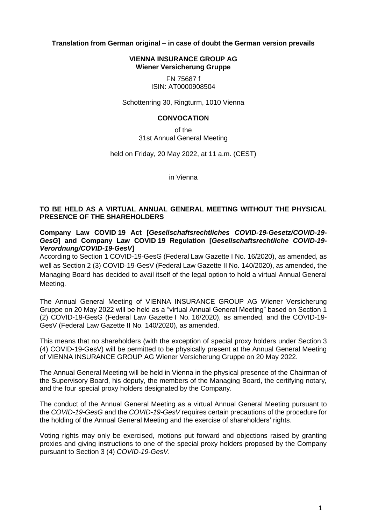**Translation from German original – in case of doubt the German version prevails**

#### **VIENNA INSURANCE GROUP AG Wiener Versicherung Gruppe**

#### FN 75687 f ISIN: AT0000908504

#### Schottenring 30, Ringturm, 1010 Vienna

#### **CONVOCATION**

of the 31st Annual General Meeting

held on Friday, 20 May 2022, at 11 a.m. (CEST)

in Vienna

#### **TO BE HELD AS A VIRTUAL ANNUAL GENERAL MEETING WITHOUT THE PHYSICAL PRESENCE OF THE SHAREHOLDERS**

**Company Law COVID 19 Act [***Gesellschaftsrechtliches COVID-19-Gesetz/COVID-19- GesG***] and Company Law COVID 19 Regulation [***Gesellschaftsrechtliche COVID-19- Verordnung/COVID-19-GesV***]**

According to Section 1 COVID-19-GesG (Federal Law Gazette I No. 16/2020), as amended, as well as Section 2 (3) COVID-19-GesV (Federal Law Gazette II No. 140/2020), as amended, the Managing Board has decided to avail itself of the legal option to hold a virtual Annual General Meeting.

The Annual General Meeting of VIENNA INSURANCE GROUP AG Wiener Versicherung Gruppe on 20 May 2022 will be held as a "virtual Annual General Meeting" based on Section 1 (2) COVID-19-GesG (Federal Law Gazette I No. 16/2020), as amended, and the COVID-19- GesV (Federal Law Gazette II No. 140/2020), as amended.

This means that no shareholders (with the exception of special proxy holders under Section 3 (4) COVID-19-GesV) will be permitted to be physically present at the Annual General Meeting of VIENNA INSURANCE GROUP AG Wiener Versicherung Gruppe on 20 May 2022.

The Annual General Meeting will be held in Vienna in the physical presence of the Chairman of the Supervisory Board, his deputy, the members of the Managing Board, the certifying notary, and the four special proxy holders designated by the Company.

The conduct of the Annual General Meeting as a virtual Annual General Meeting pursuant to the *COVID-19-GesG* and the *COVID-19-GesV* requires certain precautions of the procedure for the holding of the Annual General Meeting and the exercise of shareholders' rights.

Voting rights may only be exercised, motions put forward and objections raised by granting proxies and giving instructions to one of the special proxy holders proposed by the Company pursuant to Section 3 (4) *COVID-19-GesV*.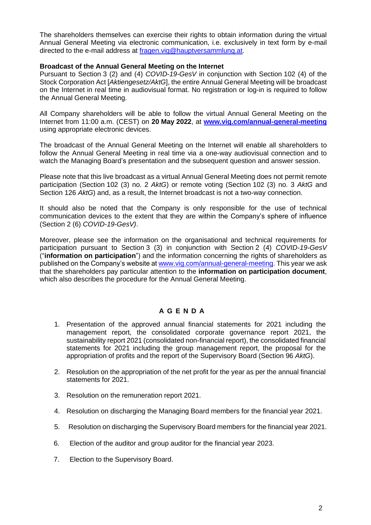The shareholders themselves can exercise their rights to obtain information during the virtual Annual General Meeting via electronic communication, i.e. exclusively in text form by e-mail directed to the e-mail address at [fragen.vig@hauptversammlung.at.](mailto:fragen.vig@hauptversammlung.at)

#### **Broadcast of the Annual General Meeting on the Internet**

Pursuant to Section 3 (2) and (4) *COVID-19-GesV* in conjunction with Section 102 (4) of the Stock Corporation Act [*Aktiengesetz/AktG*], the entire Annual General Meeting will be broadcast on the Internet in real time in audiovisual format. No registration or log-in is required to follow the Annual General Meeting.

All Company shareholders will be able to follow the virtual Annual General Meeting on the Internet from 11:00 a.m. (CEST) on **20 May 2022**, at **[www.vig.com/annual-general-meeting](http://www.vig.com/annual-general-meeting)** using appropriate electronic devices.

The broadcast of the Annual General Meeting on the Internet will enable all shareholders to follow the Annual General Meeting in real time via a one-way audiovisual connection and to watch the Managing Board's presentation and the subsequent question and answer session.

Please note that this live broadcast as a virtual Annual General Meeting does not permit remote participation (Section 102 (3) no. 2 *AktG*) or remote voting (Section 102 (3) no. 3 *AktG* and Section 126 *AktG*) and, as a result, the Internet broadcast is not a two-way connection.

It should also be noted that the Company is only responsible for the use of technical communication devices to the extent that they are within the Company's sphere of influence (Section 2 (6) *COVID-19-GesV)*.

Moreover, please see the information on the organisational and technical requirements for participation pursuant to Section 3 (3) in conjunction with Section 2 (4) *COVID-19-GesV* ("**information on participation**") and the information concerning the rights of shareholders as published on the Company's website a[t www.vig.com/annual-general-meeting.](http://www.vig.com/annual-general-meeting) This year we ask that the shareholders pay particular attention to the **information on participation document**, which also describes the procedure for the Annual General Meeting.

# **A G E NDA**

- 1. Presentation of the approved annual financial statements for 2021 including the management report, the consolidated corporate governance report 2021, the sustainability report 2021 (consolidated non-financial report), the consolidated financial statements for 2021 including the group management report, the proposal for the appropriation of profits and the report of the Supervisory Board (Section 96 *AktG*).
- 2. Resolution on the appropriation of the net profit for the year as per the annual financial statements for 2021.
- 3. Resolution on the remuneration report 2021.
- 4. Resolution on discharging the Managing Board members for the financial year 2021.
- 5. Resolution on discharging the Supervisory Board members for the financial year 2021.
- 6. Election of the auditor and group auditor for the financial year 2023.
- 7. Election to the Supervisory Board.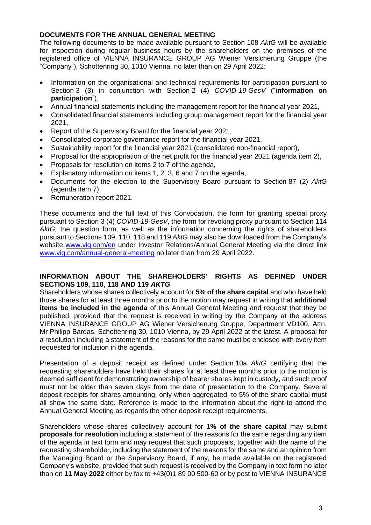## **DOCUMENTS FOR THE ANNUAL GENERAL MEETING**

The following documents to be made available pursuant to Section 108 *AktG* will be available for inspection during regular business hours by the shareholders on the premises of the registered office of VIENNA INSURANCE GROUP AG Wiener Versicherung Gruppe (the "Company"), Schottenring 30, 1010 Vienna, no later than on 29 April 2022:

- Information on the organisational and technical requirements for participation pursuant to Section 3 (3) in conjunction with Section 2 (4) *COVID-19-GesV* ("**information on participation**"),
- Annual financial statements including the management report for the financial year 2021,
- Consolidated financial statements including group management report for the financial year 2021,
- Report of the Supervisory Board for the financial year 2021,
- Consolidated corporate governance report for the financial year 2021,
- Sustainability report for the financial year 2021 (consolidated non-financial report),
- Proposal for the appropriation of the net profit for the financial year 2021 (agenda item 2),
- Proposals for resolution on items 2 to 7 of the agenda,
- Explanatory information on items 1, 2, 3, 6 and 7 on the agenda,
- Documents for the election to the Supervisory Board pursuant to Section 87 (2) *AktG* (agenda item 7),
- Remuneration report 2021.

These documents and the full text of this Convocation, the form for granting special proxy pursuant to Section 3 (4) *COVID-19-GesV*, the form for revoking proxy pursuant to Section 114 *AktG,* the question form, as well as the information concerning the rights of shareholders pursuant to Sections 109, 110, 118 and 119 *AktG* may also be downloaded from the Company's website [www.vig.com/en](http://www.vig.com/en) under Investor Relations/Annual General Meeting via the direct link [www.vig.com/annual-general-meeting](http://www.vig.com/annual-general-meeting) no later than from 29 April 2022.

### **INFORMATION ABOUT THE SHAREHOLDERS' RIGHTS AS DEFINED UNDER SECTIONS 109, 110, 118 AND 119** *AKTG*

Shareholders whose shares collectively account for **5% of the share capital** and who have held those shares for at least three months prior to the motion may request in writing that **additional items be included in the agenda** of this Annual General Meeting and request that they be published, provided that the request is received in writing by the Company at the address VIENNA INSURANCE GROUP AG Wiener Versicherung Gruppe, Department VD100, Attn. Mr Philipp Bardas, Schottenring 30, 1010 Vienna, by 29 April 2022 at the latest. A proposal for a resolution including a statement of the reasons for the same must be enclosed with every item requested for inclusion in the agenda.

Presentation of a deposit receipt as defined under Section 10a *AktG* certifying that the requesting shareholders have held their shares for at least three months prior to the motion is deemed sufficient for demonstrating ownership of bearer shares kept in custody, and such proof must not be older than seven days from the date of presentation to the Company. Several deposit receipts for shares amounting, only when aggregated, to 5% of the share capital must all show the same date. Reference is made to the information about the right to attend the Annual General Meeting as regards the other deposit receipt requirements.

Shareholders whose shares collectively account for **1% of the share capital** may submit **proposals for resolution** including a statement of the reasons for the same regarding any item of the agenda in text form and may request that such proposals, together with the name of the requesting shareholder, including the statement of the reasons for the same and an opinion from the Managing Board or the Supervisory Board, if any, be made available on the registered Company's website, provided that such request is received by the Company in text form no later than on **11 May 2022** either by fax to +43(0)1 89 00 500-60 or by post to VIENNA INSURANCE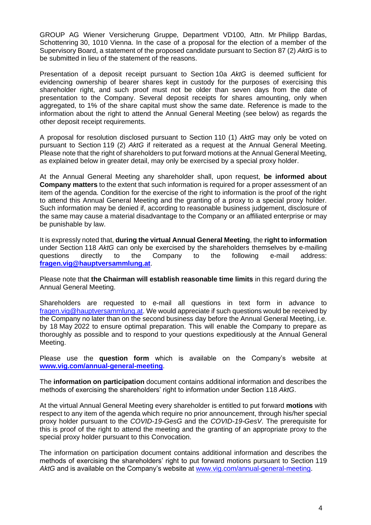GROUP AG Wiener Versicherung Gruppe, Department VD100, Attn. Mr Philipp Bardas, Schottenring 30, 1010 Vienna. In the case of a proposal for the election of a member of the Supervisory Board, a statement of the proposed candidate pursuant to Section 87 (2) *AktG* is to be submitted in lieu of the statement of the reasons.

Presentation of a deposit receipt pursuant to Section 10a *AktG* is deemed sufficient for evidencing ownership of bearer shares kept in custody for the purposes of exercising this shareholder right, and such proof must not be older than seven days from the date of presentation to the Company. Several deposit receipts for shares amounting, only when aggregated, to 1% of the share capital must show the same date. Reference is made to the information about the right to attend the Annual General Meeting (see below) as regards the other deposit receipt requirements.

A proposal for resolution disclosed pursuant to Section 110 (1) *AktG* may only be voted on pursuant to Section 119 (2) *AktG* if reiterated as a request at the Annual General Meeting. Please note that the right of shareholders to put forward motions at the Annual General Meeting, as explained below in greater detail, may only be exercised by a special proxy holder.

At the Annual General Meeting any shareholder shall, upon request, **be informed about Company matters** to the extent that such information is required for a proper assessment of an item of the agenda. Condition for the exercise of the right to information is the proof of the right to attend this Annual General Meeting and the granting of a proxy to a special proxy holder. Such information may be denied if, according to reasonable business judgement, disclosure of the same may cause a material disadvantage to the Company or an affiliated enterprise or may be punishable by law.

It is expressly noted that, **during the virtual Annual General Meeting**, the **right to information** under Section 118 *AktG* can only be exercised by the shareholders themselves by e-mailing questions directly to the Company to the following e-mail address: **[fragen.vig@hauptversammlung.at](mailto:fragen.vig@hauptversammlung.at)**.

Please note that **the Chairman will establish reasonable time limits** in this regard during the Annual General Meeting.

Shareholders are requested to e-mail all questions in text form in advance to [fragen.vig@hauptversammlung.at.](mailto:fragen.vig@hauptversammlung.at) We would appreciate if such questions would be received by the Company no later than on the second business day before the Annual General Meeting, i.e. by 18 May 2022 to ensure optimal preparation. This will enable the Company to prepare as thoroughly as possible and to respond to your questions expeditiously at the Annual General Meeting.

Please use the **question form** which is available on the Company's website at **[www.vig.com/annual-general-meeting](http://www.vig.com/annual-general-meeting)**.

The **information on participation** document contains additional information and describes the methods of exercising the shareholders' right to information under Section 118 *AktG*.

At the virtual Annual General Meeting every shareholder is entitled to put forward **motions** with respect to any item of the agenda which require no prior announcement, through his/her special proxy holder pursuant to the *COVID-19-GesG* and the *COVID-19-GesV*. The prerequisite for this is proof of the right to attend the meeting and the granting of an appropriate proxy to the special proxy holder pursuant to this Convocation.

The information on participation document contains additional information and describes the methods of exercising the shareholders' right to put forward motions pursuant to Section 119 *AktG* and is available on the Company's website at [www.vig.com/annual-general-meeting.](http://www.vig.com/annual-general-meeting)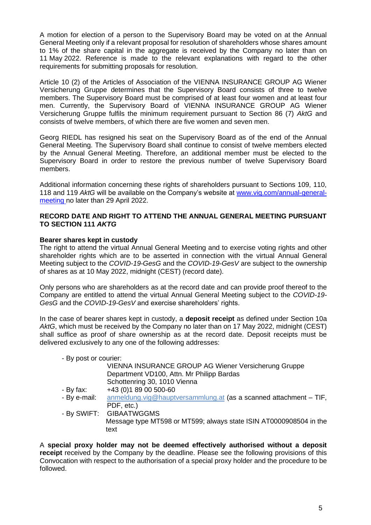A motion for election of a person to the Supervisory Board may be voted on at the Annual General Meeting only if a relevant proposal for resolution of shareholders whose shares amount to 1% of the share capital in the aggregate is received by the Company no later than on 11 May 2022. Reference is made to the relevant explanations with regard to the other requirements for submitting proposals for resolution.

Article 10 (2) of the Articles of Association of the VIENNA INSURANCE GROUP AG Wiener Versicherung Gruppe determines that the Supervisory Board consists of three to twelve members. The Supervisory Board must be comprised of at least four women and at least four men. Currently, the Supervisory Board of VIENNA INSURANCE GROUP AG Wiener Versicherung Gruppe fulfils the minimum requirement pursuant to Section 86 (7) *AktG* and consists of twelve members, of which there are five women and seven men.

Georg RIEDL has resigned his seat on the Supervisory Board as of the end of the Annual General Meeting. The Supervisory Board shall continue to consist of twelve members elected by the Annual General Meeting. Therefore, an additional member must be elected to the Supervisory Board in order to restore the previous number of twelve Supervisory Board members.

Additional information concerning these rights of shareholders pursuant to Sections 109, 110, 118 and 119 *AktG* will be available on the Company's website at [www.vig.com/annual-general](http://www.vig.com/annual-general-meeting)[meeting](http://www.vig.com/annual-general-meeting) no later than 29 April 2022.

#### **RECORD DATE AND RIGHT TO ATTEND THE ANNUAL GENERAL MEETING PURSUANT TO SECTION 111** *AKTG*

### **Bearer shares kept in custody**

The right to attend the virtual Annual General Meeting and to exercise voting rights and other shareholder rights which are to be asserted in connection with the virtual Annual General Meeting subject to the *COVID-19-GesG* and the *COVID-19-GesV* are subject to the ownership of shares as at 10 May 2022, midnight (CEST) (record date).

Only persons who are shareholders as at the record date and can provide proof thereof to the Company are entitled to attend the virtual Annual General Meeting subject to the *COVID-19- GesG* and the *COVID-19-GesV* and exercise shareholders' rights.

In the case of bearer shares kept in custody, a **deposit receipt** as defined under Section 10a *AktG*, which must be received by the Company no later than on 17 May 2022, midnight (CEST) shall suffice as proof of share ownership as at the record date. Deposit receipts must be delivered exclusively to any one of the following addresses:

### - By post or courier:

| <b>VIENNA INSURANCE GROUP AG Wiener Versicherung Gruppe</b>        |
|--------------------------------------------------------------------|
| Department VD100, Attn. Mr Philipp Bardas                          |
| Schottenring 30, 1010 Vienna                                       |
| +43 (0) 189 00 500-60                                              |
| anmeldung.vig@hauptversammlung.at (as a scanned attachment - TIF,  |
| PDF, etc.)                                                         |
| - By SWIFT: GIBAATWGGMS                                            |
| Message type MT598 or MT599; always state ISIN AT0000908504 in the |
| text                                                               |
|                                                                    |

A **special proxy holder may not be deemed effectively authorised without a deposit receipt** received by the Company by the deadline. Please see the following provisions of this Convocation with respect to the authorisation of a special proxy holder and the procedure to be followed.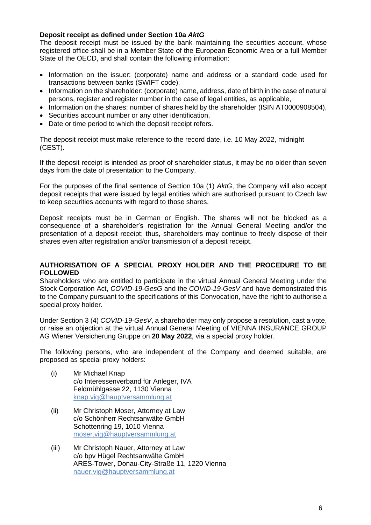### **Deposit receipt as defined under Section 10a** *AktG*

The deposit receipt must be issued by the bank maintaining the securities account, whose registered office shall be in a Member State of the European Economic Area or a full Member State of the OECD, and shall contain the following information:

- Information on the issuer: (corporate) name and address or a standard code used for transactions between banks (SWIFT code),
- Information on the shareholder: (corporate) name, address, date of birth in the case of natural persons, register and register number in the case of legal entities, as applicable,
- Information on the shares: number of shares held by the shareholder (ISIN AT0000908504),
- Securities account number or any other identification.
- Date or time period to which the deposit receipt refers.

The deposit receipt must make reference to the record date, i.e. 10 May 2022, midnight (CEST).

If the deposit receipt is intended as proof of shareholder status, it may be no older than seven days from the date of presentation to the Company.

For the purposes of the final sentence of Section 10a (1) *AktG*, the Company will also accept deposit receipts that were issued by legal entities which are authorised pursuant to Czech law to keep securities accounts with regard to those shares.

Deposit receipts must be in German or English. The shares will not be blocked as a consequence of a shareholder's registration for the Annual General Meeting and/or the presentation of a deposit receipt; thus, shareholders may continue to freely dispose of their shares even after registration and/or transmission of a deposit receipt.

### **AUTHORISATION OF A SPECIAL PROXY HOLDER AND THE PROCEDURE TO BE FOLLOWED**

Shareholders who are entitled to participate in the virtual Annual General Meeting under the Stock Corporation Act, *COVID-19-GesG* and the *COVID-19-GesV* and have demonstrated this to the Company pursuant to the specifications of this Convocation, have the right to authorise a special proxy holder.

Under Section 3 (4) *COVID-19-GesV*, a shareholder may only propose a resolution, cast a vote, or raise an objection at the virtual Annual General Meeting of VIENNA INSURANCE GROUP AG Wiener Versicherung Gruppe on **20 May 2022**, via a special proxy holder.

The following persons, who are independent of the Company and deemed suitable, are proposed as special proxy holders:

- (i) Mr Michael Knap c/o Interessenverband für Anleger, IVA Feldmühlgasse 22, 1130 Vienna [knap.vig@hauptversammlung.at](mailto:knap.vig@hauptversammlung.at)
- (ii) Mr Christoph Moser, Attorney at Law c/o Schönherr Rechtsanwälte GmbH Schottenring 19, 1010 Vienna [moser.vig@hauptversammlung.at](mailto:moser.vig@hauptversammlung.at)
- (iii) Mr Christoph Nauer, Attorney at Law c/o bpv Hügel Rechtsanwälte GmbH ARES-Tower, Donau-City-Straße 11, 1220 Vienna [nauer.vig@hauptversammlung.at](mailto:nauer.vig@hauptversammlung.at)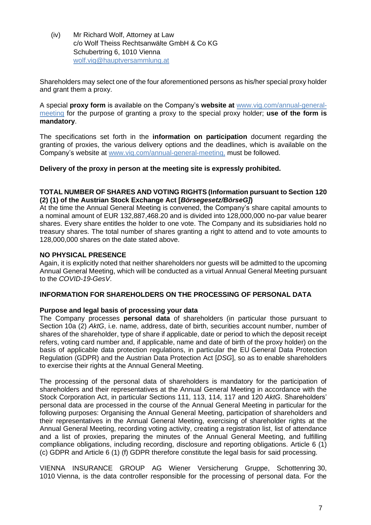(iv) Mr Richard Wolf, Attorney at Law c/o Wolf Theiss Rechtsanwälte GmbH & Co KG Schubertring 6, 1010 Vienna [wolf.vig@hauptversammlung.at](mailto:wolf.vig@hauptversammlung.at)

Shareholders may select one of the four aforementioned persons as his/her special proxy holder and grant them a proxy.

A special **proxy form** is available on the Company's **website at** [www.vig.com/annual-general](http://www.vig.com/annual-general-meeting)[meeting](http://www.vig.com/annual-general-meeting) for the purpose of granting a proxy to the special proxy holder; **use of the form is mandatory**.

The specifications set forth in the **information on participation** document regarding the granting of proxies, the various delivery options and the deadlines, which is available on the Company's website at [www.vig.com/annual-general-meeting,](http://www.vig.com/annual-general-meeting) must be followed.

### **Delivery of the proxy in person at the meeting site is expressly prohibited.**

### **TOTAL NUMBER OF SHARES AND VOTING RIGHTS (Information pursuant to Section 120 (2) (1) of the Austrian Stock Exchange Act [***Börsegesetz/BörseG]***)**

At the time the Annual General Meeting is convened, the Company's share capital amounts to a nominal amount of EUR 132,887,468.20 and is divided into 128,000,000 no-par value bearer shares. Every share entitles the holder to one vote. The Company and its subsidiaries hold no treasury shares. The total number of shares granting a right to attend and to vote amounts to 128,000,000 shares on the date stated above.

### **NO PHYSICAL PRESENCE**

Again, it is explicitly noted that neither shareholders nor guests will be admitted to the upcoming Annual General Meeting, which will be conducted as a virtual Annual General Meeting pursuant to the *COVID-19-GesV*.

### **INFORMATION FOR SHAREHOLDERS ON THE PROCESSING OF PERSONAL DATA**

## **Purpose and legal basis of processing your data**

The Company processes **personal data** of shareholders (in particular those pursuant to Section 10a (2) *AktG*, i.e. name, address, date of birth, securities account number, number of shares of the shareholder, type of share if applicable, date or period to which the deposit receipt refers, voting card number and, if applicable, name and date of birth of the proxy holder) on the basis of applicable data protection regulations, in particular the EU General Data Protection Regulation (GDPR) and the Austrian Data Protection Act [*DSG*], so as to enable shareholders to exercise their rights at the Annual General Meeting.

The processing of the personal data of shareholders is mandatory for the participation of shareholders and their representatives at the Annual General Meeting in accordance with the Stock Corporation Act, in particular Sections 111, 113, 114, 117 and 120 *AktG*. Shareholders' personal data are processed in the course of the Annual General Meeting in particular for the following purposes: Organising the Annual General Meeting, participation of shareholders and their representatives in the Annual General Meeting, exercising of shareholder rights at the Annual General Meeting, recording voting activity, creating a registration list, list of attendance and a list of proxies, preparing the minutes of the Annual General Meeting, and fulfilling compliance obligations, including recording, disclosure and reporting obligations. Article 6 (1) (c) GDPR and Article 6 (1) (f) GDPR therefore constitute the legal basis for said processing.

VIENNA INSURANCE GROUP AG Wiener Versicherung Gruppe, Schottenring 30, 1010 Vienna, is the data controller responsible for the processing of personal data. For the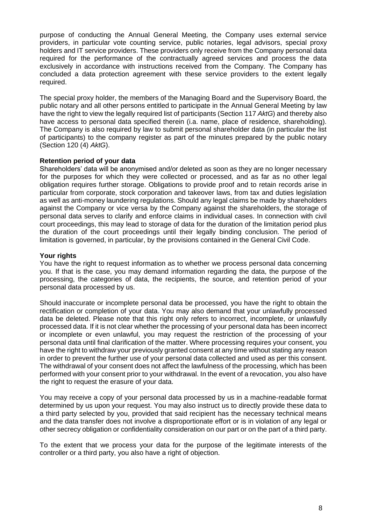purpose of conducting the Annual General Meeting, the Company uses external service providers, in particular vote counting service, public notaries, legal advisors, special proxy holders and IT service providers. These providers only receive from the Company personal data required for the performance of the contractually agreed services and process the data exclusively in accordance with instructions received from the Company. The Company has concluded a data protection agreement with these service providers to the extent legally required.

The special proxy holder, the members of the Managing Board and the Supervisory Board, the public notary and all other persons entitled to participate in the Annual General Meeting by law have the right to view the legally required list of participants (Section 117 *AktG*) and thereby also have access to personal data specified therein (i.a. name, place of residence, shareholding). The Company is also required by law to submit personal shareholder data (in particular the list of participants) to the company register as part of the minutes prepared by the public notary (Section 120 (4) *AktG*).

## **Retention period of your data**

Shareholders' data will be anonymised and/or deleted as soon as they are no longer necessary for the purposes for which they were collected or processed, and as far as no other legal obligation requires further storage. Obligations to provide proof and to retain records arise in particular from corporate, stock corporation and takeover laws, from tax and duties legislation as well as anti-money laundering regulations. Should any legal claims be made by shareholders against the Company or vice versa by the Company against the shareholders, the storage of personal data serves to clarify and enforce claims in individual cases. In connection with civil court proceedings, this may lead to storage of data for the duration of the limitation period plus the duration of the court proceedings until their legally binding conclusion. The period of limitation is governed, in particular, by the provisions contained in the General Civil Code.

## **Your rights**

You have the right to request information as to whether we process personal data concerning you. If that is the case, you may demand information regarding the data, the purpose of the processing, the categories of data, the recipients, the source, and retention period of your personal data processed by us.

Should inaccurate or incomplete personal data be processed, you have the right to obtain the rectification or completion of your data. You may also demand that your unlawfully processed data be deleted. Please note that this right only refers to incorrect, incomplete, or unlawfully processed data. If it is not clear whether the processing of your personal data has been incorrect or incomplete or even unlawful, you may request the restriction of the processing of your personal data until final clarification of the matter. Where processing requires your consent, you have the right to withdraw your previously granted consent at any time without stating any reason in order to prevent the further use of your personal data collected and used as per this consent. The withdrawal of your consent does not affect the lawfulness of the processing, which has been performed with your consent prior to your withdrawal. In the event of a revocation, you also have the right to request the erasure of your data.

You may receive a copy of your personal data processed by us in a machine-readable format determined by us upon your request. You may also instruct us to directly provide these data to a third party selected by you, provided that said recipient has the necessary technical means and the data transfer does not involve a disproportionate effort or is in violation of any legal or other secrecy obligation or confidentiality consideration on our part or on the part of a third party.

To the extent that we process your data for the purpose of the legitimate interests of the controller or a third party, you also have a right of objection.